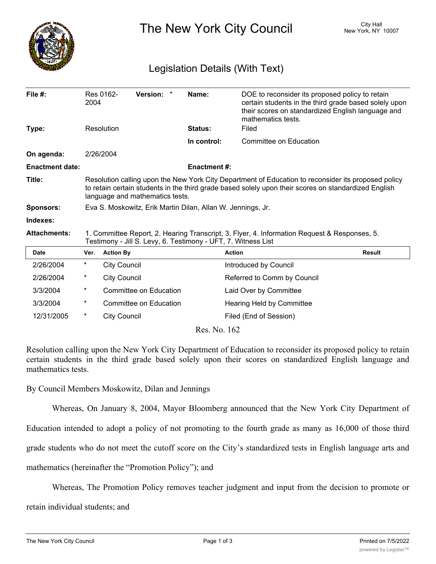

The New York City Council New York, NY 10007

## Legislation Details (With Text)

| File #:                | 2004                                                                                                                                                                                                                                           | Res 0162-           | Version: *             | Name:               | DOE to reconsider its proposed policy to retain<br>certain students in the third grade based solely upon<br>their scores on standardized English language and<br>mathematics tests. |               |
|------------------------|------------------------------------------------------------------------------------------------------------------------------------------------------------------------------------------------------------------------------------------------|---------------------|------------------------|---------------------|-------------------------------------------------------------------------------------------------------------------------------------------------------------------------------------|---------------|
| Type:                  | Resolution                                                                                                                                                                                                                                     |                     |                        | <b>Status:</b>      | Filed                                                                                                                                                                               |               |
|                        |                                                                                                                                                                                                                                                |                     |                        | In control:         | <b>Committee on Education</b>                                                                                                                                                       |               |
| On agenda:             |                                                                                                                                                                                                                                                | 2/26/2004           |                        |                     |                                                                                                                                                                                     |               |
| <b>Enactment date:</b> |                                                                                                                                                                                                                                                |                     |                        | <b>Enactment #:</b> |                                                                                                                                                                                     |               |
| Title:                 | Resolution calling upon the New York City Department of Education to reconsider its proposed policy<br>to retain certain students in the third grade based solely upon their scores on standardized English<br>language and mathematics tests. |                     |                        |                     |                                                                                                                                                                                     |               |
| <b>Sponsors:</b>       | Eva S. Moskowitz, Erik Martin Dilan, Allan W. Jennings, Jr.                                                                                                                                                                                    |                     |                        |                     |                                                                                                                                                                                     |               |
| Indexes:               |                                                                                                                                                                                                                                                |                     |                        |                     |                                                                                                                                                                                     |               |
| <b>Attachments:</b>    | 1. Committee Report, 2. Hearing Transcript, 3. Flyer, 4. Information Request & Responses, 5.<br>Testimony - Jill S. Levy, 6. Testimony - UFT, 7. Witness List                                                                                  |                     |                        |                     |                                                                                                                                                                                     |               |
| <b>Date</b>            | Ver.                                                                                                                                                                                                                                           | <b>Action By</b>    |                        |                     | <b>Action</b>                                                                                                                                                                       | <b>Result</b> |
| 2/26/2004              | $\star$                                                                                                                                                                                                                                        | <b>City Council</b> |                        |                     | Introduced by Council                                                                                                                                                               |               |
| 2/26/2004              | $^\ast$                                                                                                                                                                                                                                        | <b>City Council</b> |                        |                     | Referred to Comm by Council                                                                                                                                                         |               |
| 3/3/2004               | $^\ast$                                                                                                                                                                                                                                        |                     | Committee on Education |                     | Laid Over by Committee                                                                                                                                                              |               |
| 3/3/2004               | $^\ast$                                                                                                                                                                                                                                        |                     | Committee on Education |                     | Hearing Held by Committee                                                                                                                                                           |               |
| 12/31/2005             | $\ast$                                                                                                                                                                                                                                         | <b>City Council</b> |                        |                     | Filed (End of Session)                                                                                                                                                              |               |
| Res. No. 162           |                                                                                                                                                                                                                                                |                     |                        |                     |                                                                                                                                                                                     |               |

Resolution calling upon the New York City Department of Education to reconsider its proposed policy to retain certain students in the third grade based solely upon their scores on standardized English language and mathematics tests.

By Council Members Moskowitz, Dilan and Jennings

Whereas, On January 8, 2004, Mayor Bloomberg announced that the New York City Department of

Education intended to adopt a policy of not promoting to the fourth grade as many as 16,000 of those third

grade students who do not meet the cutoff score on the City's standardized tests in English language arts and

mathematics (hereinafter the "Promotion Policy"); and

Whereas, The Promotion Policy removes teacher judgment and input from the decision to promote or

retain individual students; and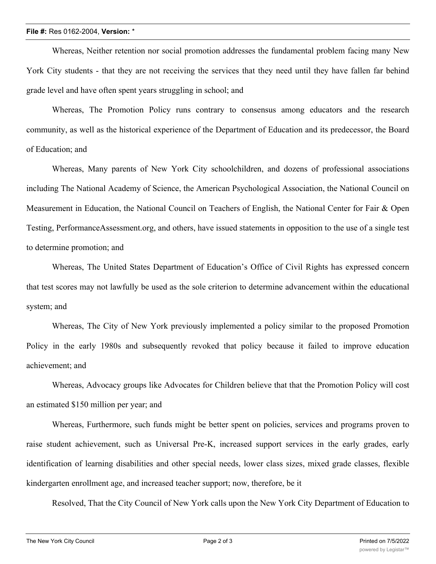## **File #:** Res 0162-2004, **Version:** \*

Whereas, Neither retention nor social promotion addresses the fundamental problem facing many New York City students - that they are not receiving the services that they need until they have fallen far behind grade level and have often spent years struggling in school; and

Whereas, The Promotion Policy runs contrary to consensus among educators and the research community, as well as the historical experience of the Department of Education and its predecessor, the Board of Education; and

Whereas, Many parents of New York City schoolchildren, and dozens of professional associations including The National Academy of Science, the American Psychological Association, the National Council on Measurement in Education, the National Council on Teachers of English, the National Center for Fair & Open Testing, PerformanceAssessment.org, and others, have issued statements in opposition to the use of a single test to determine promotion; and

Whereas, The United States Department of Education's Office of Civil Rights has expressed concern that test scores may not lawfully be used as the sole criterion to determine advancement within the educational system; and

Whereas, The City of New York previously implemented a policy similar to the proposed Promotion Policy in the early 1980s and subsequently revoked that policy because it failed to improve education achievement; and

Whereas, Advocacy groups like Advocates for Children believe that that the Promotion Policy will cost an estimated \$150 million per year; and

Whereas, Furthermore, such funds might be better spent on policies, services and programs proven to raise student achievement, such as Universal Pre-K, increased support services in the early grades, early identification of learning disabilities and other special needs, lower class sizes, mixed grade classes, flexible kindergarten enrollment age, and increased teacher support; now, therefore, be it

Resolved, That the City Council of New York calls upon the New York City Department of Education to